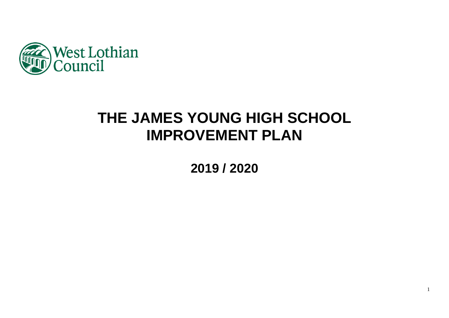

# **THE JAMES YOUNG HIGH SCHOOL IMPROVEMENT PLAN**

**2019 / 2020**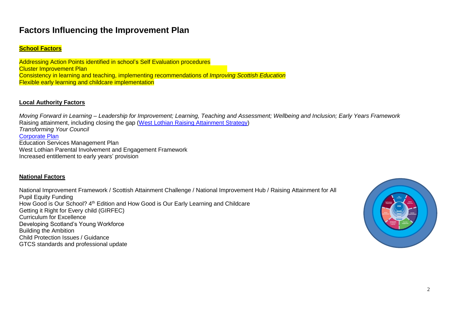# **Factors Influencing the Improvement Plan**

### **School Factors**

Addressing Action Points identified in school's Self Evaluation procedures **Cluster Improvement Plan** Consistency in learning and teaching, implementing recommendations of *Improving Scottish Education* Flexible early learning and childcare implementation

#### **Local Authority Factors**

*Moving Forward in Learning – Leadership for Improvement; Learning, Teaching and Assessment; Wellbeing and Inclusion; Early Years Framework* Raising attainment, including closing the gap [\(West Lothian Raising Attainment Strategy\)](https://www.westlothian.gov.uk/media/29938/Raising-Attainment-Strategy-201819-to-202223/pdf/Raising_Attainment_Strategy.pdf) *Transforming Your Council* [Corporate Plan](https://www.westlothian.gov.uk/media/19488/Corporate-Plan-2018-2023/pdf/Corporate_Plan_2018_to_2023.pdf) Education Services Management Plan West Lothian Parental Involvement and Engagement Framework Increased entitlement to early years' provision

#### **National Factors**

National Improvement Framework / Scottish Attainment Challenge / National Improvement Hub / Raising Attainment for All Pupil Equity Funding How Good is Our School? 4<sup>th</sup> Edition and How Good is Our Early Learning and Childcare Getting it Right for Every child (GIRFEC) Curriculum for Excellence Developing Scotland's Young Workforce Building the Ambition Child Protection Issues / Guidance GTCS standards and professional update

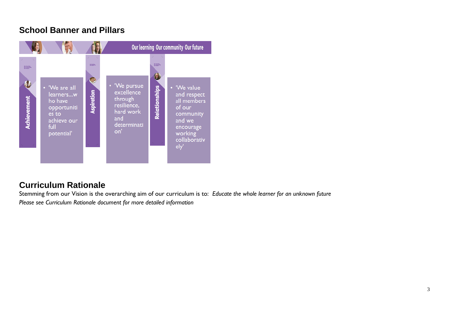# **School Banner and Pillars**



# **Curriculum Rationale**

Stemming from our Vision is the overarching aim of our curriculum is to: *Educate the whole learner for an unknown future Please see Curriculum Rationale document for more detailed information*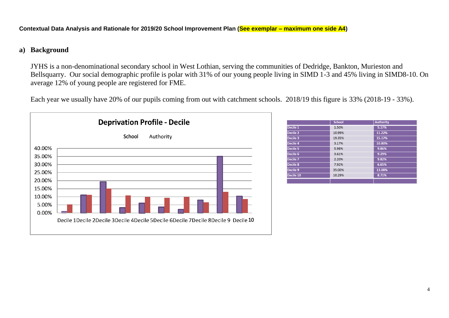#### **Contextual Data Analysis and Rationale for 2019/20 School Improvement Plan (See exemplar – maximum one side A4)**

### **a) Background**

JYHS is a non-denominational secondary school in West Lothian, serving the communities of Dedridge, Bankton, Murieston and Bellsquarry. Our social demographic profile is polar with 31% of our young people living in SIMD 1-3 and 45% living in SIMD8-10. On average 12% of young people are registered for FME.

Each year we usually have 20% of our pupils coming from out with catchment schools. 2018/19 this figure is 33% (2018-19 - 33%).



|                    | <b>School</b> | <b>Authority</b> |
|--------------------|---------------|------------------|
| ecile 1            | 1.50%         | 5.17%            |
| ecile <sub>2</sub> | 10.99%        | 11.22%           |
| ecile 3            | 19.35%        | 15.17%           |
| ecile 4            | 3.17%         | 10.80%           |
| ecile 5            | 5.98%         | 9.86%            |
| ecile 6            | 3.61%         | 9.29%            |
| ecile <sub>7</sub> | 2.20%         | 9.82%            |
| ecile 8            | 7.92%         | 6.65%            |
| ecile 9            | 35.00%        | 13.08%           |
| ecile 10           | 10.29%        | 8.71%            |
|                    |               |                  |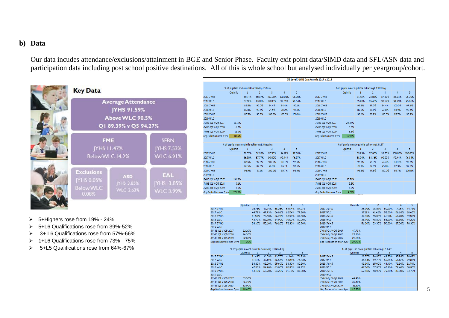### **b) Data**

Our data incudes attendance/exclusions/attainment in BGE and Senior Phase. Faculty exit point data/SIMD data and SFL/ASN data and participation data including post school positive destinations. All of this is whole school but analysed individually per yeargroup/cohort.

**2017 JYHS** 

**2017 WLC** 

**2018 JYHS** 

JYHS Q1 V Q5 2018

JYHS Q1 v Q5 2019

Gap Reducation over 3yrs 19.40%

26.70%

33.90%

2018 WLC

| <b>Average Attendance</b><br>JYHS 91.59%<br>Above WLC 90.5%<br>Q1 89.39% v Q5 94.27% |                                                    |                                               |  |  |  |  |
|--------------------------------------------------------------------------------------|----------------------------------------------------|-----------------------------------------------|--|--|--|--|
| <b>JYHS 11.47%</b><br>Below WLC 14.2%                                                | <b>FME</b>                                         | <b>SEBN</b><br><b>JYHS 7.53%</b><br>WLC 6.91% |  |  |  |  |
| <b>Exclusions</b><br><b>IYHS 0.05%</b><br><b>Below WLC</b><br>0.08%                  | <b>ASD</b><br><b>YHS 3.85%</b><br><b>WLC 2.63%</b> | <b>EAL</b><br>JYHS 3.85%<br><b>WLC 3.99%</b>  |  |  |  |  |

|                          | % of pupils in each quintile achieving L3 Num     |              |                |                |         |        |                          | % of pupils in each quintile achieving L3 Writing |              |                |                |         |         |
|--------------------------|---------------------------------------------------|--------------|----------------|----------------|---------|--------|--------------------------|---------------------------------------------------|--------------|----------------|----------------|---------|---------|
|                          | Quintile                                          | $\mathbf{1}$ | $\overline{c}$ | $\overline{3}$ | 4       | 5      |                          | Quintile                                          | $\mathbf{1}$ | $\overline{c}$ | 3              | 4       | 5       |
| 2017 JYHS                |                                                   | 85.71%       | 85.37%         | 100.00%        | 100.00% | 98.90% | <b>2017 JYHS</b>         |                                                   | 71.43%       | 78.05%         | 87.50%         | 88.24%  | 96.70%  |
| 2017 WLC                 |                                                   | 87.12%       | 85.01%         | 90.00%         | 92.83%  | 96.34% | <b>2017 WLC</b>          |                                                   | 85.28%       | 85.40%         | 90.57%         | 94.79%  | 95.65%  |
| 2018 JYHS                |                                                   | 88.5%        | 95.0%          | 94.4%          | 94.4%   | 95.1%  | <b>2018 JYHS</b>         |                                                   | 92.3%        | 97.5%          | 94.4%          | 100.0%  | 97.6%   |
| 2018 WLC                 |                                                   | 86.5%        | 90.7%          | 94.5%          | 95.2%   | 97.1%  | 2018 WLC                 |                                                   | 86.0%        | 86.6%          | 93.8%          | 93.9%   | 96.4%   |
| 2019 JYHS                |                                                   | 87.5%        | 93.3%          | 100.0%         | 100.0%  | 100.0% | 2019 JYHS                |                                                   | 90.6%        | 88.9%          | 100.0%         | 95.7%   | 98.9%   |
| 2019 WLC                 |                                                   |              |                |                |         |        | 2019 WLC                 |                                                   |              |                |                |         |         |
| TYHS Q1 V Q5 2017        | 13.19%                                            |              |                |                |         |        | JYH5 Q1 V Q5 2017        | 25.27%                                            |              |                |                |         |         |
| TYHS Q1 V Q5 2018        | 6.7%                                              |              |                |                |         |        | JYHS Q1 V Q5 2018        | 5.3%                                              |              |                |                |         |         |
| TYHS Q1 V Q5 2019        | 12.5%                                             |              |                |                |         |        | JYHS Q1 V Q5 2019        | 8.3%                                              |              |                |                |         |         |
| Sap Rduction over 3 yrs  | 0.69%                                             |              |                |                |         |        | Gap Rduction over 3 yrs  | 16.97%                                            |              |                |                |         |         |
|                          | % of pupils in each quintile achieving L3 Reading |              |                |                |         |        |                          | % of pupils in each quintile achieving L3 L&T     |              |                |                |         |         |
|                          | Quintile                                          | $\mathbf{1}$ | $\overline{c}$ | 3              | 4       | 5      |                          | Quintile                                          | 1            | $\overline{c}$ | $\overline{3}$ | 4       | 5       |
| 2017 JYHS                |                                                   | 78.57%       | 82.93%         | 87.50%         | 94.12%  | 97.80% | <b>2017 JYHS</b>         |                                                   | 89.29%       | 87.80%         | 93.75%         | 100.00% | 100.00% |
| 2017 WLC                 |                                                   | 86.50%       | 87.77%         | 90.00%         | 95.44%  | 96.57% | 2017 WLC                 |                                                   | 88.04%       | 88.36%         | 90.00%         | 95.44%  | 96.34%  |
| 2018 JYHS                |                                                   | 88.5%        | 97.5%          | 100.0%         | 100.0%  | 97.6%  | <b>2018 JYHS</b>         |                                                   | 92.3%        | 95.0%          | 94.4%          | 100.0%  | 97.6%   |
| 2018 WLC                 |                                                   | 86.5%        | 87.8%          | 96.0%          | 96.1%   | 97.6%  | 2018 WLC                 |                                                   | 87.1%        | 89.8%          | 95.0%          | 97.9%   | 97.3%   |
| 2019 JYHS                |                                                   | 96.9%        | 91.1%          | 100.0%         | 95.7%   | 98.9%  | 2019 JYHS                |                                                   | 93.8%        | 97.8%          | 100.0%         | 95.7%   | 100.0%  |
| 2019 WLC                 |                                                   |              |                |                |         |        | 2019 WLC                 |                                                   |              |                |                |         |         |
| TYHS Q1 V Q5 2017        | 19.23%                                            |              |                |                |         |        | JYHS Q1 V Q5 2017        | 10.71%                                            |              |                |                |         |         |
| TYHS Q1 V Q5 2018        | 9.1%                                              |              |                |                |         |        | JYH5 Q1 V Q5 2018        | 5.3%                                              |              |                |                |         |         |
| TYHS Q1 V Q5 2019        | 2.0%                                              |              |                |                |         |        | JYHS Q1 V Q5 2019        | 6.2%                                              |              |                |                |         |         |
| Sap Reduction over 3 yrs | 17.23%                                            |              |                |                |         |        | Gap Reduction over 3 yrs | 4.51%                                             |              |                |                |         |         |

- 5+Highers rose from 19% 24%
- 5+L6 Qualifications rose from 39%-52%
- 3+ L6 Qualifications rose from 57%-66%
- 1+L6 Qualifications rose from 73% 75%
- 5+L5 Qualifications rose from 64%-67%

| 2019 JYHS                                         |          | 53.10% | 55.60% | 79.20%        | 78.30% | 85.90%                                        | <b>2019 JYHS</b>         |          | 56.30% | 53.30%        | 50.00%        | 87.00%         | 78.30% |
|---------------------------------------------------|----------|--------|--------|---------------|--------|-----------------------------------------------|--------------------------|----------|--------|---------------|---------------|----------------|--------|
| 2019 WLC                                          |          |        |        |               |        |                                               | 2019 MLC                 |          |        |               |               |                |        |
| JYHS Q1 V Q5 2017                                 | 52.20%   |        |        |               |        |                                               | JYHS Q1 V Q5 2017        | 49.73%   |        |               |               |                |        |
| JYHS Q1 V Q5 2018                                 | 26.30%   |        |        |               |        |                                               | JYHS Q1 V Q5 2018        | 27.20%   |        |               |               |                |        |
| JYHS Q1 V Q5 2019                                 | 32.80%   |        |        |               |        |                                               | JYHS Q1 V Q5 2019        | 22.00%   |        |               |               |                |        |
| Gap Reducation over 3yrs                          | 20%      |        |        |               |        |                                               | Gap Reducation over 3yrs | 27.73%   |        |               |               |                |        |
| % of pupils in each quintile achieving L4 Reading |          |        |        |               |        | % of pupils in each quintile achieving L4 L&T |                          |          |        |               |               |                |        |
|                                                   | Quintile |        |        | 3             | 4      | 5                                             |                          | Quintile |        | $\mathcal{P}$ | 3             | $\overline{4}$ | 5      |
| 2017 JYHS                                         |          | 21.43% | 36.59% | 43.75%        | 41.18% | 74.73%                                        | <b>2017 JYHS</b>         |          | 28.57% | 26.83%        | 43.75%        | 35.29%         | 78.02% |
| 2017 WLC                                          |          | 41.41% | 47.14% | 56.57%        | 63.84% | 74.83%                                        | 2017 WLC                 |          | 46.63% | 49.70%        | 56.86%        | 66.12%         | 79.86% |
| <b>2018 JYHS</b>                                  |          | 53.80% | 65.00% | 55.60%        | 83.30% | 80.50%                                        | <b>2018 JYHS</b>         |          | 42.30% | 65.00%        | 44.40%        | 72.20%         | 81.70% |
| 2018 WLC                                          |          | 47.50% | 54.70% | 63.90%        | 70.90% | 82.10%                                        | 2018 WLC                 |          | 47.50% | 57.90%        | 67.20%        | 72.40%         | 80.90% |
| 2019 JYHS                                         |          | 53.10% |        | 68.90% 54.20% | 91.30% | 87.00%                                        | 2019 JYHS                |          | 62.50% |               | 68.90% 79.20% | 87.00% 83.70%  |        |
| 2019 WLC                                          |          |        |        |               |        |                                               | 2019 WLC                 |          |        |               |               |                |        |
| JYHS Q1 V Q5 2017                                 | 53.30%   |        |        |               |        |                                               | JYHS Q1 V Q5 2017        | 49.45%   |        |               |               |                |        |

**2017 JYHS** 

2017 WLC

**2018 JYHS** 

2018 WLC

JYHS Q1 V Q5 2018

JYHS Q1 v Q5 2019

Gap Reducation over 3yrs 28.25%

Quintile

39.40%

21.20%

 $1 \quad 2 \quad 3 \quad 4$ 

25.00% 26.83% 50.00% 17.65% 74.73%

37.12% 41.42% 52.00% 56.68% 68.65%

42.30% 55.00% 61.10% 66.70% 69.50%

38.70% 48.80% 58.00% 63.30% 74.20%

 $-5$ 

Quintile 1 2 3

 $\overline{4}$ 

35.71% 46.34% 56.25% 52.94% 87.91%

44.79% 47.73% 56.86% 62.54% 77.80%

61.50% 72.50% 66.70% 88.90% 87.80%

43.70% 52.20% 64.90% 70.00% 80.00%

- 5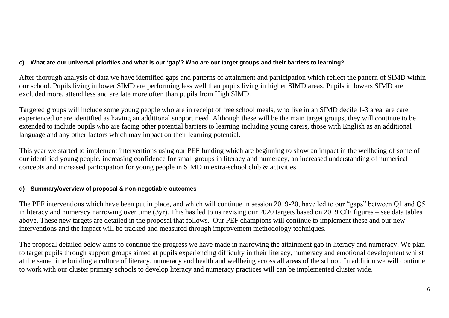# **c) What are our universal priorities and what is our 'gap'? Who are our target groups and their barriers to learning?**

After thorough analysis of data we have identified gaps and patterns of attainment and participation which reflect the pattern of SIMD within our school. Pupils living in lower SIMD are performing less well than pupils living in higher SIMD areas. Pupils in lowers SIMD are excluded more, attend less and are late more often than pupils from High SIMD.

Targeted groups will include some young people who are in receipt of free school meals, who live in an SIMD decile 1-3 area, are care experienced or are identified as having an additional support need. Although these will be the main target groups, they will continue to be extended to include pupils who are facing other potential barriers to learning including young carers, those with English as an additional language and any other factors which may impact on their learning potential.

This year we started to implement interventions using our PEF funding which are beginning to show an impact in the wellbeing of some of our identified young people, increasing confidence for small groups in literacy and numeracy, an increased understanding of numerical concepts and increased participation for young people in SIMD in extra-school club & activities.

# **d) Summary/overview of proposal & non-negotiable outcomes**

The PEF interventions which have been put in place, and which will continue in session 2019-20, have led to our "gaps" between Q1 and Q5 in literacy and numeracy narrowing over time (3yr). This has led to us revising our 2020 targets based on 2019 CfE figures – see data tables above. These new targets are detailed in the proposal that follows. Our PEF champions will continue to implement these and our new interventions and the impact will be tracked and measured through improvement methodology techniques.

The proposal detailed below aims to continue the progress we have made in narrowing the attainment gap in literacy and numeracy. We plan to target pupils through support groups aimed at pupils experiencing difficulty in their literacy, numeracy and emotional development whilst at the same time building a culture of literacy, numeracy and health and wellbeing across all areas of the school. In addition we will continue to work with our cluster primary schools to develop literacy and numeracy practices will can be implemented cluster wide.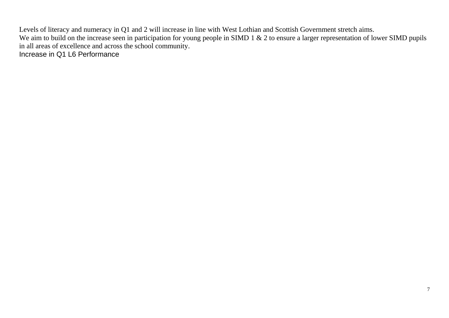Levels of literacy and numeracy in Q1 and 2 will increase in line with West Lothian and Scottish Government stretch aims. We aim to build on the increase seen in participation for young people in SIMD 1 & 2 to ensure a larger representation of lower SIMD pupils in all areas of excellence and across the school community. Increase in Q1 L6 Performance